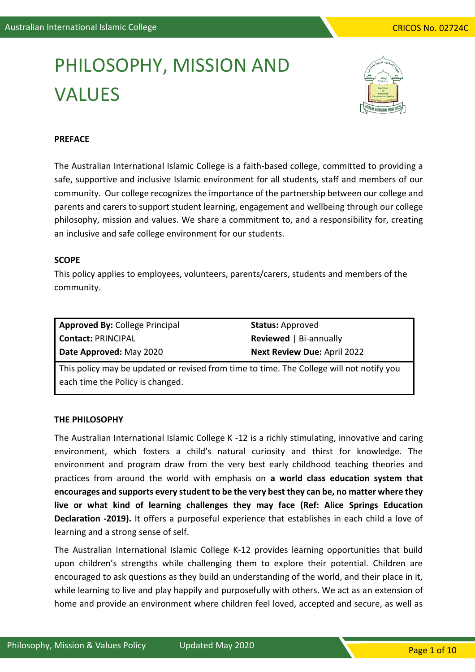# PHILOSOPHY, MISSION AND VALUES



# **PREFACE**

The Australian International Islamic College is a faith-based college, committed to providing a safe, supportive and inclusive Islamic environment for all students, staff and members of our community. Our college recognizes the importance of the partnership between our college and parents and carers to support student learning, engagement and wellbeing through our college philosophy, mission and values. We share a commitment to, and a responsibility for, creating an inclusive and safe college environment for our students.

# **SCOPE**

This policy applies to employees, volunteers, parents/carers, students and members of the community.

| <b>Approved By: College Principal</b> |  |  |  |
|---------------------------------------|--|--|--|
| <b>Contact: PRINCIPAL</b>             |  |  |  |
| Date Approved: May 2020               |  |  |  |

**Status:** Approved **Reviewed** | Bi-annually **Next Review Due:** April 2022

This policy may be updated or revised from time to time. The College will not notify you each time the Policy is changed.

# **THE PHILOSOPHY**

The Australian International Islamic College K -12 is a richly stimulating, innovative and caring environment, which fosters a child's natural curiosity and thirst for knowledge. The environment and program draw from the very best early childhood teaching theories and practices from around the world with emphasis on **a world class education system that encourages and supports every student to be the very best they can be, no matter where they live or what kind of learning challenges they may face (Ref: Alice Springs Education Declaration -2019).** It offers a purposeful experience that establishes in each child a love of learning and a strong sense of self.

The Australian International Islamic College K-12 provides learning opportunities that build upon children's strengths while challenging them to explore their potential. Children are encouraged to ask questions as they build an understanding of the world, and their place in it, while learning to live and play happily and purposefully with others. We act as an extension of home and provide an environment where children feel loved, accepted and secure, as well as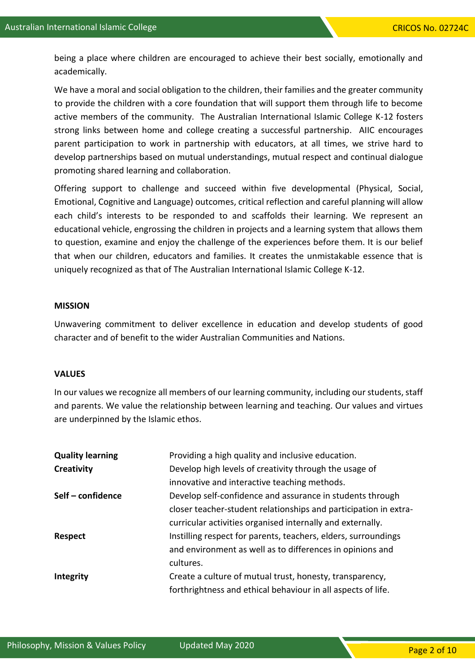being a place where children are encouraged to achieve their best socially, emotionally and academically.

We have a moral and social obligation to the children, their families and the greater community to provide the children with a core foundation that will support them through life to become active members of the community. The Australian International Islamic College K-12 fosters strong links between home and college creating a successful partnership. AIIC encourages parent participation to work in partnership with educators, at all times, we strive hard to develop partnerships based on mutual understandings, mutual respect and continual dialogue promoting shared learning and collaboration.

Offering support to challenge and succeed within five developmental (Physical, Social, Emotional, Cognitive and Language) outcomes, critical reflection and careful planning will allow each child's interests to be responded to and scaffolds their learning. We represent an educational vehicle, engrossing the children in projects and a learning system that allows them to question, examine and enjoy the challenge of the experiences before them. It is our belief that when our children, educators and families. It creates the unmistakable essence that is uniquely recognized as that of The Australian International Islamic College K-12.

#### **MISSION**

Unwavering commitment to deliver excellence in education and develop students of good character and of benefit to the wider Australian Communities and Nations.

### **VALUES**

In our values we recognize all members of our learning community, including our students, staff and parents. We value the relationship between learning and teaching. Our values and virtues are underpinned by the Islamic ethos.

| <b>Quality learning</b> | Providing a high quality and inclusive education.                |  |  |
|-------------------------|------------------------------------------------------------------|--|--|
| Creativity              | Develop high levels of creativity through the usage of           |  |  |
|                         | innovative and interactive teaching methods.                     |  |  |
| Self – confidence       | Develop self-confidence and assurance in students through        |  |  |
|                         | closer teacher-student relationships and participation in extra- |  |  |
|                         | curricular activities organised internally and externally.       |  |  |
| <b>Respect</b>          | Instilling respect for parents, teachers, elders, surroundings   |  |  |
|                         | and environment as well as to differences in opinions and        |  |  |
|                         | cultures.                                                        |  |  |
| <b>Integrity</b>        | Create a culture of mutual trust, honesty, transparency,         |  |  |
|                         | forthrightness and ethical behaviour in all aspects of life.     |  |  |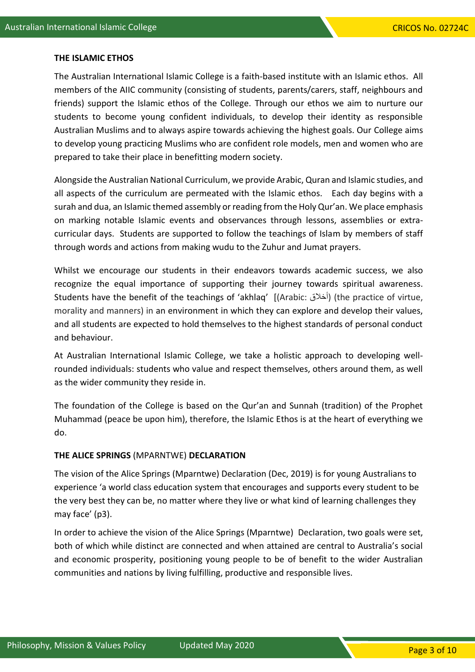## **THE ISLAMIC ETHOS**

The Australian International Islamic College is a faith-based institute with an Islamic ethos. All members of the AIIC community (consisting of students, parents/carers, staff, neighbours and friends) support the Islamic ethos of the College. Through our ethos we aim to nurture our students to become young confident individuals, to develop their identity as responsible Australian Muslims and to always aspire towards achieving the highest goals. Our College aims to develop young practicing Muslims who are confident role models, men and women who are prepared to take their place in benefitting modern society.

Alongside the Australian National Curriculum, we provide Arabic, Quran and Islamic studies, and all aspects of the curriculum are permeated with the Islamic ethos. Each day begins with a surah and dua, an Islamic themed assembly or reading from the Holy Qur'an. We place emphasis on marking notable Islamic events and observances through lessons, assemblies or extracurricular days. Students are supported to follow the teachings of Islam by members of staff through words and actions from making wudu to the Zuhur and Jumat prayers.

Whilst we encourage our students in their endeavors towards academic success, we also recognize the equal importance of supporting their journey towards spiritual awareness. Students have the benefit of the teachings of 'akhlaq' [(Arabic: أخالق) (the practice of virtue, morality and manners) in an environment in which they can explore and develop their values, and all students are expected to hold themselves to the highest standards of personal conduct and behaviour.

At Australian International Islamic College, we take a holistic approach to developing wellrounded individuals: students who value and respect themselves, others around them, as well as the wider community they reside in.

The foundation of the College is based on the Qur'an and Sunnah (tradition) of the Prophet Muhammad (peace be upon him), therefore, the Islamic Ethos is at the heart of everything we do.

## **THE ALICE SPRINGS** (MPARNTWE) **DECLARATION**

The vision of the Alice Springs (Mparntwe) Declaration (Dec, 2019) is for young Australians to experience 'a world class education system that encourages and supports every student to be the very best they can be, no matter where they live or what kind of learning challenges they may face' (p3).

In order to achieve the vision of the Alice Springs (Mparntwe) Declaration, two goals were set, both of which while distinct are connected and when attained are central to Australia's social and economic prosperity, positioning young people to be of benefit to the wider Australian communities and nations by living fulfilling, productive and responsible lives.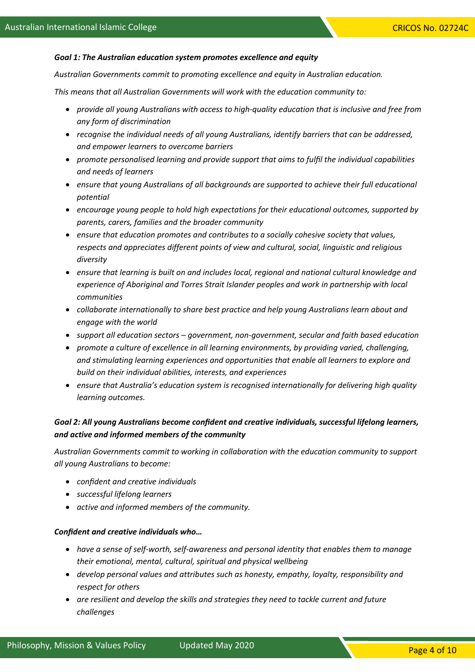#### *Goal 1: The Australian education system promotes excellence and equity*

*Australian Governments commit to promoting excellence and equity in Australian education.*

*This means that all Australian Governments will work with the education community to:*

- *provide all young Australians with access to high-quality education that is inclusive and free from any form of discrimination*
- *recognise the individual needs of all young Australians, identify barriers that can be addressed, and empower learners to overcome barriers*
- *promote personalised learning and provide support that aims to fulfil the individual capabilities and needs of learners*
- *ensure that young Australians of all backgrounds are supported to achieve their full educational potential*
- *encourage young people to hold high expectations for their educational outcomes, supported by parents, carers, families and the broader community*
- *ensure that education promotes and contributes to a socially cohesive society that values, respects and appreciates different points of view and cultural, social, linguistic and religious diversity*
- *ensure that learning is built on and includes local, regional and national cultural knowledge and experience of Aboriginal and Torres Strait Islander peoples and work in partnership with local communities*
- *collaborate internationally to share best practice and help young Australians learn about and engage with the world*
- *support all education sectors – government, non-government, secular and faith based education*
- *promote a culture of excellence in all learning environments, by providing varied, challenging, and stimulating learning experiences and opportunities that enable all learners to explore and build on their individual abilities, interests, and experiences*
- *ensure that Australia's education system is recognised internationally for delivering high quality learning outcomes.*

# *Goal 2: All young Australians become confident and creative individuals, successful lifelong learners, and active and informed members of the community*

*Australian Governments commit to working in collaboration with the education community to support all young Australians to become:*

- *confident and creative individuals*
- *successful lifelong learners*
- *active and informed members of the community.*

#### *Confident and creative individuals who…*

- *have a sense of self-worth, self-awareness and personal identity that enables them to manage their emotional, mental, cultural, spiritual and physical wellbeing*
- *develop personal values and attributes such as honesty, empathy, loyalty, responsibility and respect for others*
- *are resilient and develop the skills and strategies they need to tackle current and future challenges*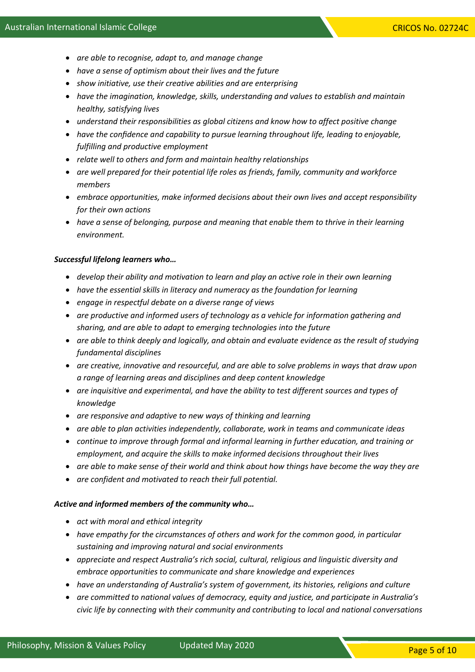- *are able to recognise, adapt to, and manage change*
- *have a sense of optimism about their lives and the future*
- *show initiative, use their creative abilities and are enterprising*
- *have the imagination, knowledge, skills, understanding and values to establish and maintain healthy, satisfying lives*
- *understand their responsibilities as global citizens and know how to affect positive change*
- *have the confidence and capability to pursue learning throughout life, leading to enjoyable, fulfilling and productive employment*
- *relate well to others and form and maintain healthy relationships*
- *are well prepared for their potential life roles as friends, family, community and workforce members*
- *embrace opportunities, make informed decisions about their own lives and accept responsibility for their own actions*
- *have a sense of belonging, purpose and meaning that enable them to thrive in their learning environment.*

#### *Successful lifelong learners who…*

- *develop their ability and motivation to learn and play an active role in their own learning*
- *have the essential skills in literacy and numeracy as the foundation for learning*
- *engage in respectful debate on a diverse range of views*
- *are productive and informed users of technology as a vehicle for information gathering and sharing, and are able to adapt to emerging technologies into the future*
- *are able to think deeply and logically, and obtain and evaluate evidence as the result of studying fundamental disciplines*
- *are creative, innovative and resourceful, and are able to solve problems in ways that draw upon a range of learning areas and disciplines and deep content knowledge*
- *are inquisitive and experimental, and have the ability to test different sources and types of knowledge*
- *are responsive and adaptive to new ways of thinking and learning*
- *are able to plan activities independently, collaborate, work in teams and communicate ideas*
- *continue to improve through formal and informal learning in further education, and training or employment, and acquire the skills to make informed decisions throughout their lives*
- *are able to make sense of their world and think about how things have become the way they are*
- *are confident and motivated to reach their full potential.*

#### *Active and informed members of the community who…*

- *act with moral and ethical integrity*
- *have empathy for the circumstances of others and work for the common good, in particular sustaining and improving natural and social environments*
- *appreciate and respect Australia's rich social, cultural, religious and linguistic diversity and embrace opportunities to communicate and share knowledge and experiences*
- *have an understanding of Australia's system of government, its histories, religions and culture*
- *are committed to national values of democracy, equity and justice, and participate in Australia's civic life by connecting with their community and contributing to local and national conversations*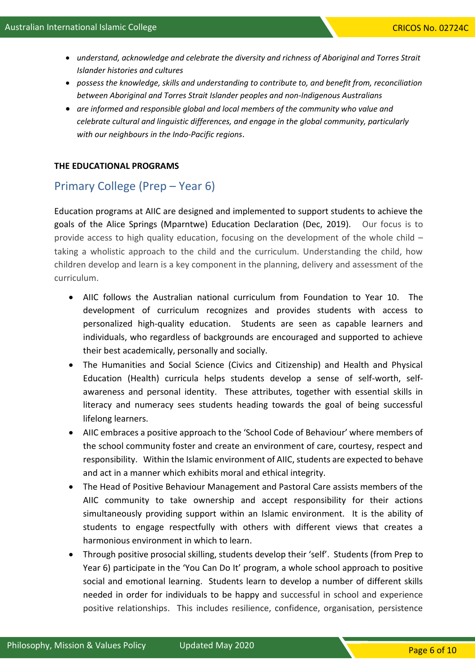- *understand, acknowledge and celebrate the diversity and richness of Aboriginal and Torres Strait Islander histories and cultures*
- *possess the knowledge, skills and understanding to contribute to, and benefit from, reconciliation between Aboriginal and Torres Strait Islander peoples and non-Indigenous Australians*
- *are informed and responsible global and local members of the community who value and celebrate cultural and linguistic differences, and engage in the global community, particularly with our neighbours in the Indo-Pacific regions*.

## **THE EDUCATIONAL PROGRAMS**

# Primary College (Prep – Year 6)

Education programs at AIIC are designed and implemented to support students to achieve the goals of the Alice Springs (Mparntwe) Education Declaration (Dec, 2019). Our focus is to provide access to high quality education, focusing on the development of the whole child – taking a wholistic approach to the child and the curriculum. Understanding the child, how children develop and learn is a key component in the planning, delivery and assessment of the curriculum.

- AIIC follows the Australian national curriculum from Foundation to Year 10. The development of curriculum recognizes and provides students with access to personalized high-quality education. Students are seen as capable learners and individuals, who regardless of backgrounds are encouraged and supported to achieve their best academically, personally and socially.
- The Humanities and Social Science (Civics and Citizenship) and Health and Physical Education (Health) curricula helps students develop a sense of self-worth, selfawareness and personal identity. These attributes, together with essential skills in literacy and numeracy sees students heading towards the goal of being successful lifelong learners.
- AIIC embraces a positive approach to the 'School Code of Behaviour' where members of the school community foster and create an environment of care, courtesy, respect and responsibility. Within the Islamic environment of AIIC, students are expected to behave and act in a manner which exhibits moral and ethical integrity.
- The Head of Positive Behaviour Management and Pastoral Care assists members of the AIIC community to take ownership and accept responsibility for their actions simultaneously providing support within an Islamic environment. It is the ability of students to engage respectfully with others with different views that creates a harmonious environment in which to learn.
- Through positive prosocial skilling, students develop their 'self'. Students (from Prep to Year 6) participate in the 'You Can Do It' program, a whole school approach to positive social and emotional learning. Students learn to develop a number of different skills needed in order for individuals to be happy and successful in school and experience positive relationships. This includes resilience, confidence, organisation, persistence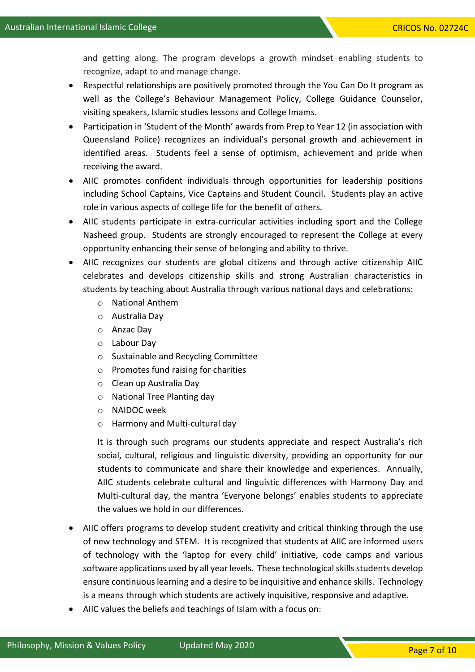and getting along. The program develops a growth mindset enabling students to recognize, adapt to and manage change.

- Respectful relationships are positively promoted through the You Can Do It program as well as the College's Behaviour Management Policy, College Guidance Counselor, visiting speakers, Islamic studies lessons and College Imams.
- Participation in 'Student of the Month' awards from Prep to Year 12 (in association with Queensland Police) recognizes an individual's personal growth and achievement in identified areas. Students feel a sense of optimism, achievement and pride when receiving the award.
- AIIC promotes confident individuals through opportunities for leadership positions including School Captains, Vice Captains and Student Council. Students play an active role in various aspects of college life for the benefit of others.
- AIIC students participate in extra-curricular activities including sport and the College Nasheed group. Students are strongly encouraged to represent the College at every opportunity enhancing their sense of belonging and ability to thrive.
- AIIC recognizes our students are global citizens and through active citizenship AIIC celebrates and develops citizenship skills and strong Australian characteristics in students by teaching about Australia through various national days and celebrations:
	- o National Anthem
	- o Australia Day
	- o Anzac Day
	- o Labour Day
	- o Sustainable and Recycling Committee
	- o Promotes fund raising for charities
	- o Clean up Australia Day
	- o National Tree Planting day
	- o NAIDOC week
	- o Harmony and Multi-cultural day

It is through such programs our students appreciate and respect Australia's rich social, cultural, religious and linguistic diversity, providing an opportunity for our students to communicate and share their knowledge and experiences. Annually, AIIC students celebrate cultural and linguistic differences with Harmony Day and Multi-cultural day, the mantra 'Everyone belongs' enables students to appreciate the values we hold in our differences.

- AIIC offers programs to develop student creativity and critical thinking through the use of new technology and STEM. It is recognized that students at AIIC are informed users of technology with the 'laptop for every child' initiative, code camps and various software applications used by all year levels. These technological skills students develop ensure continuous learning and a desire to be inquisitive and enhance skills. Technology is a means through which students are actively inquisitive, responsive and adaptive.
- AIIC values the beliefs and teachings of Islam with a focus on: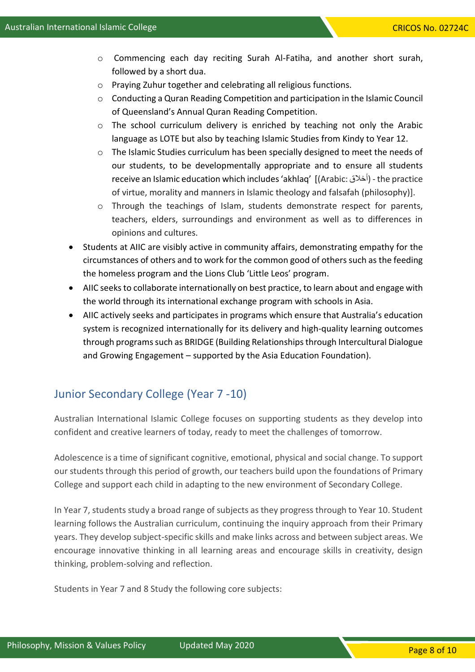- o Commencing each day reciting Surah Al-Fatiha, and another short surah, followed by a short dua.
- o Praying Zuhur together and celebrating all religious functions.
- o Conducting a Quran Reading Competition and participation in the Islamic Council of Queensland's Annual Quran Reading Competition.
- o The school curriculum delivery is enriched by teaching not only the Arabic language as LOTE but also by teaching Islamic Studies from Kindy to Year 12.
- o The Islamic Studies curriculum has been specially designed to meet the needs of our students, to be developmentally appropriate and to ensure all students receive an Islamic education which includes 'akhlaq' [(Arabic: أخالق (- the practice of virtue, morality and manners in Islamic theology and falsafah (philosophy)].
- o Through the teachings of Islam, students demonstrate respect for parents, teachers, elders, surroundings and environment as well as to differences in opinions and cultures.
- Students at AIIC are visibly active in community affairs, demonstrating empathy for the circumstances of others and to work for the common good of others such as the feeding the homeless program and the Lions Club 'Little Leos' program.
- AIIC seeks to collaborate internationally on best practice, to learn about and engage with the world through its international exchange program with schools in Asia.
- AIIC actively seeks and participates in programs which ensure that Australia's education system is recognized internationally for its delivery and high-quality learning outcomes through programs such as BRIDGE (Building Relationships through Intercultural Dialogue and Growing Engagement – supported by the Asia Education Foundation).

# Junior Secondary College (Year 7 -10)

Australian International Islamic College focuses on supporting students as they develop into confident and creative learners of today, ready to meet the challenges of tomorrow.

Adolescence is a time of significant cognitive, emotional, physical and social change. To support our students through this period of growth, our teachers build upon the foundations of Primary College and support each child in adapting to the new environment of Secondary College.

In Year 7, students study a broad range of subjects as they progress through to Year 10. Student learning follows the Australian curriculum, continuing the inquiry approach from their Primary years. They develop subject-specific skills and make links across and between subject areas. We encourage innovative thinking in all learning areas and encourage skills in creativity, design thinking, problem-solving and reflection.

Students in Year 7 and 8 Study the following core subjects: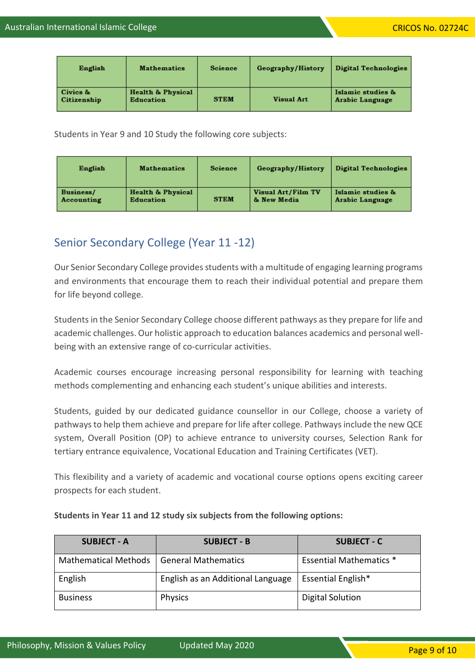| English                 | <b>Mathematics</b>             | Science     | Geography/History | Digital Technologies                 |
|-------------------------|--------------------------------|-------------|-------------------|--------------------------------------|
| Civics &<br>Citizenship | Health & Physical<br>Education | <b>STEM</b> | <b>Visual Art</b> | Islamic studies &<br>Arabic Language |

Students in Year 9 and 10 Study the following core subjects:

| English    | <b>Mathematics</b> | Science     | Geography/History  | Digital Technologies |
|------------|--------------------|-------------|--------------------|----------------------|
| Business/  | Health & Physical  | <b>STEM</b> | Visual Art/Film TV | Islamic studies &    |
| Accounting | Education          |             | & New Media        | Arabic Language      |

# Senior Secondary College (Year 11 -12)

Our Senior Secondary College provides students with a multitude of engaging learning programs and environments that encourage them to reach their individual potential and prepare them for life beyond college.

Students in the Senior Secondary College choose different pathways as they prepare for life and academic challenges. Our holistic approach to education balances academics and personal wellbeing with an extensive range of co-curricular activities.

Academic courses encourage increasing personal responsibility for learning with teaching methods complementing and enhancing each student's unique abilities and interests.

Students, guided by our dedicated guidance counsellor in our College, choose a variety of pathways to help them achieve and prepare for life after college. Pathways include the new QCE system, Overall Position (OP) to achieve entrance to university courses, Selection Rank for tertiary entrance equivalence, Vocational Education and Training Certificates (VET).

This flexibility and a variety of academic and vocational course options opens exciting career prospects for each student.

| <b>SUBJECT - A</b>                         | <b>SUBJECT - B</b>                | <b>SUBJECT - C</b>             |
|--------------------------------------------|-----------------------------------|--------------------------------|
| Mathematical Methods   General Mathematics |                                   | <b>Essential Mathematics *</b> |
| English                                    | English as an Additional Language | <b>Essential English*</b>      |
| <b>Business</b>                            | Physics                           | Digital Solution               |

# **Students in Year 11 and 12 study six subjects from the following options:**